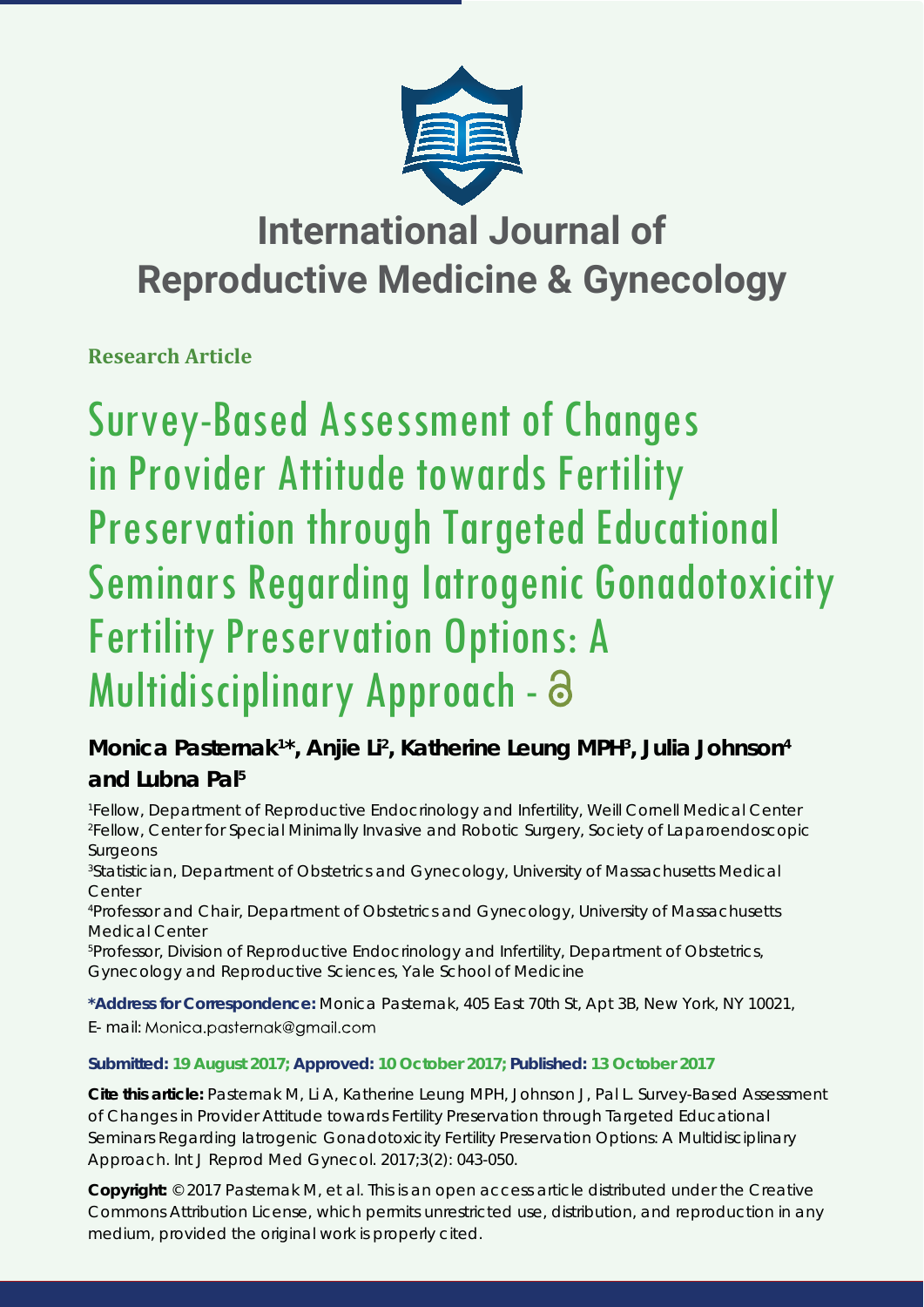

**Research Article**

Survey-Based Assessment of Changes in Provider Attitude towards Fertility Preservation through Targeted Educational Seminars Regarding Iatrogenic Gonadotoxicity Fertility Preservation Options: A Multidisciplinary Approach - 3

**Monica Pasternak1 \*, Anjie Li2 , Katherine Leung MPH3 , Julia Johnson4 and Lubna Pal5**

*1 Fellow, Department of Reproductive Endocrinology and Infertility, Weill Cornell Medical Center 2 Fellow, Center for Special Minimally Invasive and Robotic Surgery, Society of Laparoendoscopic Surgeons*

*3 Statistician, Department of Obstetrics and Gynecology, University of Massachusetts Medical Center*

*4 Professor and Chair, Department of Obstetrics and Gynecology, University of Massachusetts Medical Center*

*5 Professor, Division of Reproductive Endocrinology and Infertility, Department of Obstetrics, Gynecology and Reproductive Sciences, Yale School of Medicine*

**\*Address for Correspondence:** Monica Pasternak, 405 East 70th St, Apt 3B, New York, NY 10021, E- mail: Monica.pasternak@gmail.com

### **Submitted: 19 August 2017; Approved: 10 October 2017; Published: 13 October 2017**

**Cite this article:** Pasternak M, Li A, Katherine Leung MPH, Johnson J, Pal L. Survey-Based Assessment of Changes in Provider Attitude towards Fertility Preservation through Targeted Educational Seminars Regarding Iatrogenic Gonadotoxicity Fertility Preservation Options: A Multidisciplinary Approach. Int J Reprod Med Gynecol. 2017;3(2): 043-050.

**Copyright:** © 2017 Pasternak M, et al. This is an open access article distributed under the Creative Commons Attribution License, which permits unrestricted use, distribution, and reproduction in any medium, provided the original work is properly cited.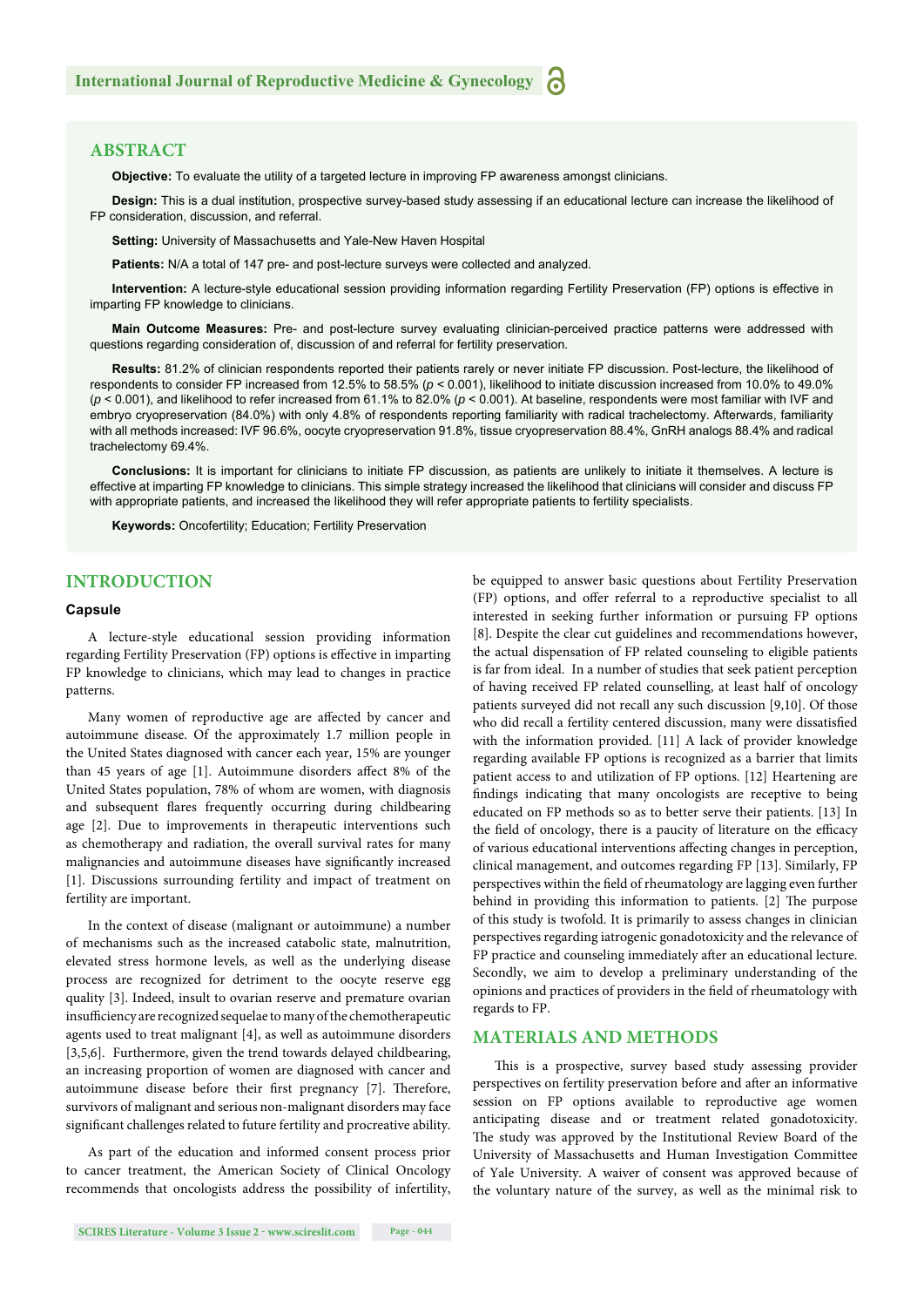### **ABSTRACT**

**Objective:** To evaluate the utility of a targeted lecture in improving FP awareness amongst clinicians.

**Design:** This is a dual institution, prospective survey-based study assessing if an educational lecture can increase the likelihood of FP consideration, discussion, and referral.

**Setting:** University of Massachusetts and Yale-New Haven Hospital

**Patients:** N/A a total of 147 pre- and post-lecture surveys were collected and analyzed.

**Intervention:** A lecture-style educational session providing information regarding Fertility Preservation (FP) options is effective in imparting FP knowledge to clinicians.

**Main Outcome Measures:** Pre- and post-lecture survey evaluating clinician-perceived practice patterns were addressed with questions regarding consideration of, discussion of and referral for fertility preservation.

**Results:** 81.2% of clinician respondents reported their patients rarely or never initiate FP discussion. Post-lecture, the likelihood of respondents to consider FP increased from 12.5% to 58.5% (*p* < 0.001), likelihood to initiate discussion increased from 10.0% to 49.0% (*p* < 0.001), and likelihood to refer increased from 61.1% to 82.0% (*p* < 0.001). At baseline, respondents were most familiar with IVF and embryo cryopreservation (84.0%) with only 4.8% of respondents reporting familiarity with radical trachelectomy. Afterwards, familiarity with all methods increased: IVF 96.6%, oocyte cryopreservation 91.8%, tissue cryopreservation 88.4%, GnRH analogs 88.4% and radical trachelectomy 69.4%.

**Conclusions:** It is important for clinicians to initiate FP discussion, as patients are unlikely to initiate it themselves. A lecture is effective at imparting FP knowledge to clinicians. This simple strategy increased the likelihood that clinicians will consider and discuss FP with appropriate patients, and increased the likelihood they will refer appropriate patients to fertility specialists.

**Keywords:** Oncofertility; Education; Fertility Preservation

### **INTRODUCTION**

### **Capsule**

A lecture-style educational session providing information regarding Fertility Preservation (FP) options is effective in imparting FP knowledge to clinicians, which may lead to changes in practice patterns.

Many women of reproductive age are affected by cancer and autoimmune disease. Of the approximately 1.7 million people in the United States diagnosed with cancer each year, 15% are younger than 45 years of age [1]. Autoimmune disorders affect 8% of the United States population, 78% of whom are women, with diagnosis and subsequent flares frequently occurring during childbearing age [2]. Due to improvements in therapeutic interventions such as chemotherapy and radiation, the overall survival rates for many malignancies and autoimmune diseases have significantly increased [1]. Discussions surrounding fertility and impact of treatment on fertility are important.

In the context of disease (malignant or autoimmune) a number of mechanisms such as the increased catabolic state, malnutrition, elevated stress hormone levels, as well as the underlying disease process are recognized for detriment to the oocyte reserve egg quality [3]. Indeed, insult to ovarian reserve and premature ovarian insufficiency are recognized sequelae to many of the chemotherapeutic agents used to treat malignant [4], as well as autoimmune disorders [3,5,6]. Furthermore, given the trend towards delayed childbearing, an increasing proportion of women are diagnosed with cancer and autoimmune disease before their first pregnancy [7]. Therefore, survivors of malignant and serious non-malignant disorders may face significant challenges related to future fertility and procreative ability.

As part of the education and informed consent process prior to cancer treatment, the American Society of Clinical Oncology recommends that oncologists address the possibility of infertility,

**SCIRES Literature - Volume 3 Issue 2 - www.scireslit.com Page - 044**

be equipped to answer basic questions about Fertility Preservation (FP) options, and offer referral to a reproductive specialist to all interested in seeking further information or pursuing FP options [8]. Despite the clear cut guidelines and recommendations however, the actual dispensation of FP related counseling to eligible patients is far from ideal. In a number of studies that seek patient perception of having received FP related counselling, at least half of oncology patients surveyed did not recall any such discussion [9,10]. Of those who did recall a fertility centered discussion, many were dissatisfied with the information provided. [11] A lack of provider knowledge regarding available FP options is recognized as a barrier that limits patient access to and utilization of FP options. [12] Heartening are findings indicating that many oncologists are receptive to being educated on FP methods so as to better serve their patients. [13] In the field of oncology, there is a paucity of literature on the efficacy of various educational interventions affecting changes in perception, clinical management, and outcomes regarding FP [13]. Similarly, FP perspectives within the field of rheumatology are lagging even further behind in providing this information to patients. [2] The purpose of this study is twofold. It is primarily to assess changes in clinician perspectives regarding iatrogenic gonadotoxicity and the relevance of FP practice and counseling immediately after an educational lecture. Secondly, we aim to develop a preliminary understanding of the opinions and practices of providers in the field of rheumatology with regards to FP.

### **MATERIALS AND METHODS**

This is a prospective, survey based study assessing provider perspectives on fertility preservation before and after an informative session on FP options available to reproductive age women anticipating disease and or treatment related gonadotoxicity. The study was approved by the Institutional Review Board of the University of Massachusetts and Human Investigation Committee of Yale University. A waiver of consent was approved because of the voluntary nature of the survey, as well as the minimal risk to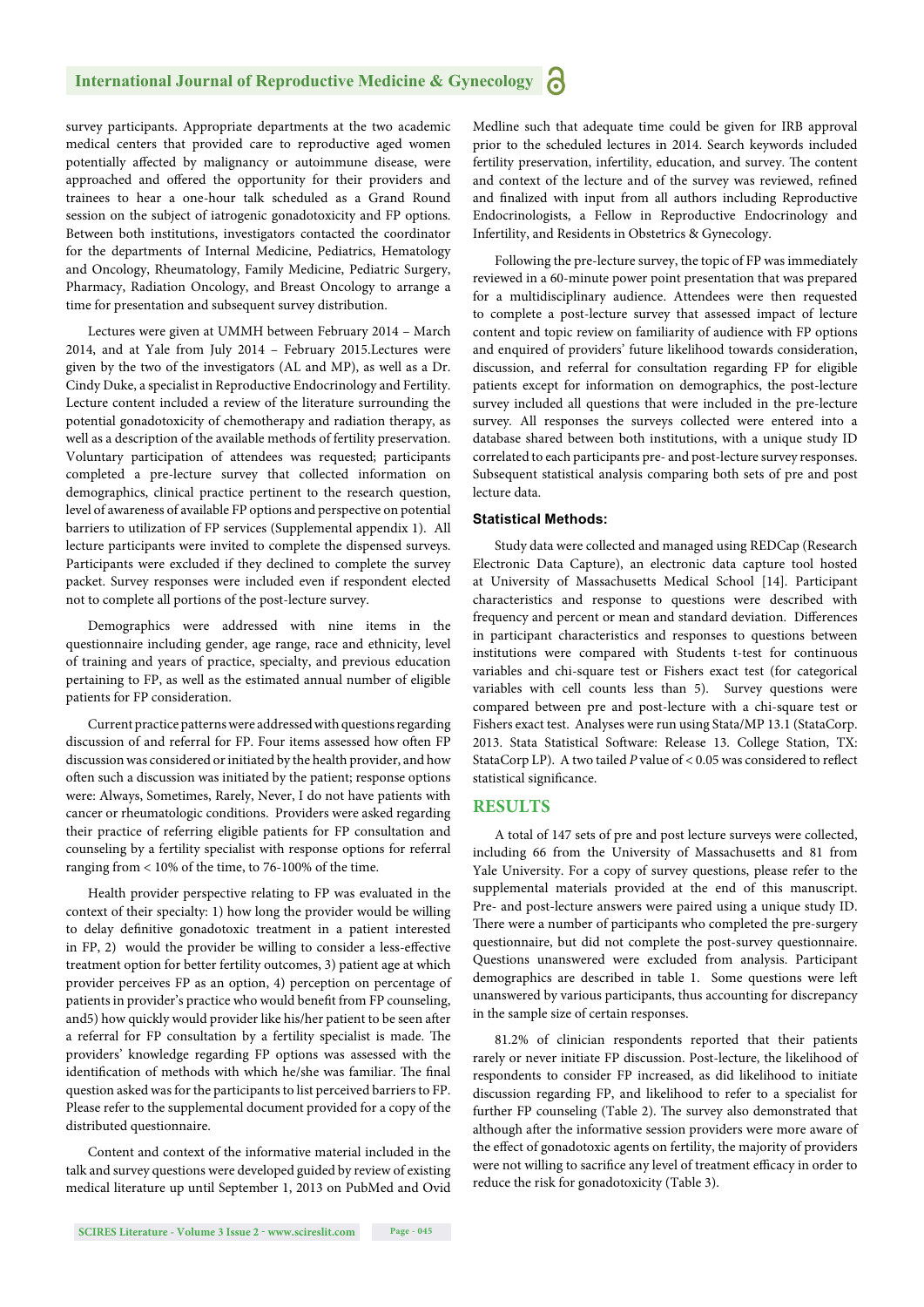survey participants. Appropriate departments at the two academic medical centers that provided care to reproductive aged women potentially affected by malignancy or autoimmune disease, were approached and offered the opportunity for their providers and trainees to hear a one-hour talk scheduled as a Grand Round session on the subject of iatrogenic gonadotoxicity and FP options. Between both institutions, investigators contacted the coordinator for the departments of Internal Medicine, Pediatrics, Hematology and Oncology, Rheumatology, Family Medicine, Pediatric Surgery, Pharmacy, Radiation Oncology, and Breast Oncology to arrange a time for presentation and subsequent survey distribution.

Lectures were given at UMMH between February 2014 – March 2014, and at Yale from July 2014 – February 2015.Lectures were given by the two of the investigators (AL and MP), as well as a Dr. Cindy Duke, a specialist in Reproductive Endocrinology and Fertility. Lecture content included a review of the literature surrounding the potential gonadotoxicity of chemotherapy and radiation therapy, as well as a description of the available methods of fertility preservation. Voluntary participation of attendees was requested; participants completed a pre-lecture survey that collected information on demographics, clinical practice pertinent to the research question, level of awareness of available FP options and perspective on potential barriers to utilization of FP services (Supplemental appendix 1). All lecture participants were invited to complete the dispensed surveys. Participants were excluded if they declined to complete the survey packet. Survey responses were included even if respondent elected not to complete all portions of the post-lecture survey.

Demographics were addressed with nine items in the questionnaire including gender, age range, race and ethnicity, level of training and years of practice, specialty, and previous education pertaining to FP, as well as the estimated annual number of eligible patients for FP consideration.

Current practice patterns were addressed with questions regarding discussion of and referral for FP. Four items assessed how often FP discussion was considered or initiated by the health provider, and how often such a discussion was initiated by the patient; response options were: Always, Sometimes, Rarely, Never, I do not have patients with cancer or rheumatologic conditions. Providers were asked regarding their practice of referring eligible patients for FP consultation and counseling by a fertility specialist with response options for referral ranging from < 10% of the time, to 76-100% of the time.

Health provider perspective relating to FP was evaluated in the context of their specialty: 1) how long the provider would be willing to delay definitive gonadotoxic treatment in a patient interested in FP, 2) would the provider be willing to consider a less-effective treatment option for better fertility outcomes, 3) patient age at which provider perceives FP as an option, 4) perception on percentage of patients in provider's practice who would benefit from FP counseling, and5) how quickly would provider like his/her patient to be seen after a referral for FP consultation by a fertility specialist is made. The providers' knowledge regarding FP options was assessed with the identification of methods with which he/she was familiar. The final question asked was for the participants to list perceived barriers to FP. Please refer to the supplemental document provided for a copy of the distributed questionnaire.

Content and context of the informative material included in the talk and survey questions were developed guided by review of existing medical literature up until September 1, 2013 on PubMed and Ovid Medline such that adequate time could be given for IRB approval prior to the scheduled lectures in 2014. Search keywords included fertility preservation, infertility, education, and survey. The content and context of the lecture and of the survey was reviewed, refined and finalized with input from all authors including Reproductive Endocrinologists, a Fellow in Reproductive Endocrinology and Infertility, and Residents in Obstetrics & Gynecology.

Following the pre-lecture survey, the topic of FP was immediately reviewed in a 60-minute power point presentation that was prepared for a multidisciplinary audience. Attendees were then requested to complete a post-lecture survey that assessed impact of lecture content and topic review on familiarity of audience with FP options and enquired of providers' future likelihood towards consideration, discussion, and referral for consultation regarding FP for eligible patients except for information on demographics, the post-lecture survey included all questions that were included in the pre-lecture survey*.* All responses the surveys collected were entered into a database shared between both institutions, with a unique study ID correlated to each participants pre- and post-lecture survey responses. Subsequent statistical analysis comparing both sets of pre and post lecture data.

### **Statistical Methods:**

Study data were collected and managed using REDCap (Research Electronic Data Capture), an electronic data capture tool hosted at University of Massachusetts Medical School [14]. Participant characteristics and response to questions were described with frequency and percent or mean and standard deviation. Differences in participant characteristics and responses to questions between institutions were compared with Students t-test for continuous variables and chi-square test or Fishers exact test (for categorical variables with cell counts less than 5). Survey questions were compared between pre and post-lecture with a chi-square test or Fishers exact test. Analyses were run using Stata/MP 13.1 (StataCorp. 2013. Stata Statistical Software: Release 13. College Station, TX: StataCorp LP). A two tailed *P* value of < 0.05 was considered to reflect statistical significance.

### **RESULTS**

A total of 147 sets of pre and post lecture surveys were collected, including 66 from the University of Massachusetts and 81 from Yale University. For a copy of survey questions, please refer to the supplemental materials provided at the end of this manuscript. Pre- and post-lecture answers were paired using a unique study ID. There were a number of participants who completed the pre-surgery questionnaire, but did not complete the post-survey questionnaire. Questions unanswered were excluded from analysis. Participant demographics are described in table 1. Some questions were left unanswered by various participants, thus accounting for discrepancy in the sample size of certain responses.

81.2% of clinician respondents reported that their patients rarely or never initiate FP discussion. Post-lecture, the likelihood of respondents to consider FP increased, as did likelihood to initiate discussion regarding FP, and likelihood to refer to a specialist for further FP counseling (Table 2). The survey also demonstrated that although after the informative session providers were more aware of the effect of gonadotoxic agents on fertility, the majority of providers were not willing to sacrifice any level of treatment efficacy in order to reduce the risk for gonadotoxicity (Table 3).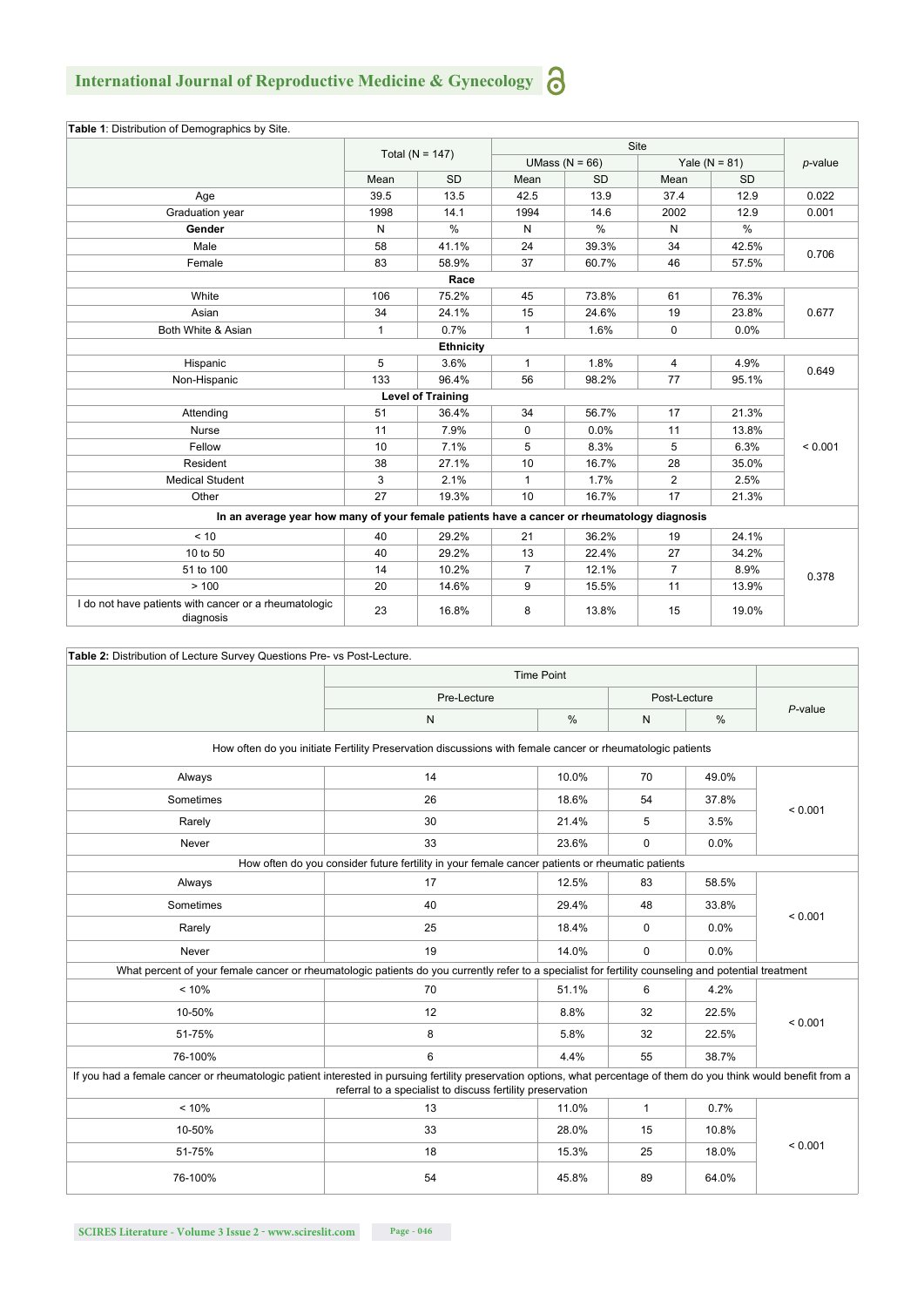| Table 1: Distribution of Demographics by Site.                                              |                     |                  |                    |           |                   |           |            |  |
|---------------------------------------------------------------------------------------------|---------------------|------------------|--------------------|-----------|-------------------|-----------|------------|--|
|                                                                                             | Total ( $N = 147$ ) |                  | Site               |           |                   |           |            |  |
|                                                                                             |                     |                  | UMass ( $N = 66$ ) |           | Yale ( $N = 81$ ) |           | $p$ -value |  |
|                                                                                             | Mean                | <b>SD</b>        | Mean               | <b>SD</b> | Mean              | <b>SD</b> |            |  |
| Age                                                                                         | 39.5                | 13.5             | 42.5               | 13.9      | 37.4              | 12.9      | 0.022      |  |
| Graduation year                                                                             | 1998                | 14.1             | 1994               | 14.6      | 2002              | 12.9      | 0.001      |  |
| Gender                                                                                      | N                   | $\%$             | N                  | %         | N                 | $\%$      |            |  |
| Male                                                                                        | 58                  | 41.1%            | 24                 | 39.3%     | 34                | 42.5%     | 0.706      |  |
| Female                                                                                      | 83                  | 58.9%            | 37                 | 60.7%     | 46                | 57.5%     |            |  |
|                                                                                             |                     | Race             |                    |           |                   |           |            |  |
| White                                                                                       | 106                 | 75.2%            | 45                 | 73.8%     | 61                | 76.3%     |            |  |
| Asian                                                                                       | 34                  | 24.1%            | 15                 | 24.6%     | 19                | 23.8%     | 0.677      |  |
| Both White & Asian                                                                          | $\mathbf{1}$        | 0.7%             | $\mathbf{1}$       | 1.6%      | 0                 | 0.0%      |            |  |
|                                                                                             |                     | <b>Ethnicity</b> |                    |           |                   |           |            |  |
| Hispanic                                                                                    | 5                   | 3.6%             | $\mathbf{1}$       | 1.8%      | $\overline{4}$    | 4.9%      | 0.649      |  |
| Non-Hispanic                                                                                | 133                 | 96.4%            | 56                 | 98.2%     | 77                | 95.1%     |            |  |
| <b>Level of Training</b>                                                                    |                     |                  |                    |           |                   |           |            |  |
| Attending                                                                                   | 51                  | 36.4%            | 34                 | 56.7%     | 17                | 21.3%     |            |  |
| <b>Nurse</b>                                                                                | 11                  | 7.9%             | 0                  | 0.0%      | 11                | 13.8%     |            |  |
| Fellow                                                                                      | 10                  | 7.1%             | 5                  | 8.3%      | 5                 | 6.3%      | < 0.001    |  |
| Resident                                                                                    | 38                  | 27.1%            | 10                 | 16.7%     | 28                | 35.0%     |            |  |
| <b>Medical Student</b>                                                                      | 3                   | 2.1%             | 1                  | 1.7%      | $\overline{c}$    | 2.5%      |            |  |
| Other                                                                                       | 27                  | 19.3%            | 10                 | 16.7%     | 17                | 21.3%     |            |  |
| In an average year how many of your female patients have a cancer or rheumatology diagnosis |                     |                  |                    |           |                   |           |            |  |
| < 10                                                                                        | 40                  | 29.2%            | 21                 | 36.2%     | 19                | 24.1%     |            |  |
| 10 to 50                                                                                    | 40                  | 29.2%            | 13                 | 22.4%     | 27                | 34.2%     |            |  |
| 51 to 100                                                                                   | 14                  | 10.2%            | $\overline{7}$     | 12.1%     | $\overline{7}$    | 8.9%      | 0.378      |  |
| > 100                                                                                       | 20                  | 14.6%            | 9                  | 15.5%     | 11                | 13.9%     |            |  |
| I do not have patients with cancer or a rheumatologic<br>diagnosis                          | 23                  | 16.8%            | 8                  | 13.8%     | 15                | 19.0%     |            |  |

| Table 2: Distribution of Lecture Survey Questions Pre- vs Post-Lecture.                                                                                              |                                                                                                           |                   |              |               |         |  |  |  |  |
|----------------------------------------------------------------------------------------------------------------------------------------------------------------------|-----------------------------------------------------------------------------------------------------------|-------------------|--------------|---------------|---------|--|--|--|--|
|                                                                                                                                                                      |                                                                                                           | <b>Time Point</b> |              |               |         |  |  |  |  |
|                                                                                                                                                                      | Pre-Lecture                                                                                               |                   | Post-Lecture | $P$ -value    |         |  |  |  |  |
|                                                                                                                                                                      | N                                                                                                         | $\%$              | N            | $\frac{0}{0}$ |         |  |  |  |  |
|                                                                                                                                                                      | How often do you initiate Fertility Preservation discussions with female cancer or rheumatologic patients |                   |              |               |         |  |  |  |  |
| Always                                                                                                                                                               | 14                                                                                                        | 10.0%             | 70           | 49.0%         |         |  |  |  |  |
| Sometimes                                                                                                                                                            | 26                                                                                                        | 18.6%             | 54           | 37.8%         | < 0.001 |  |  |  |  |
| Rarely                                                                                                                                                               | 30                                                                                                        | 21.4%             | 5            | 3.5%          |         |  |  |  |  |
| Never                                                                                                                                                                | 33                                                                                                        | 23.6%             | 0            | 0.0%          |         |  |  |  |  |
|                                                                                                                                                                      | How often do you consider future fertility in your female cancer patients or rheumatic patients           |                   |              |               |         |  |  |  |  |
| Always                                                                                                                                                               | 17                                                                                                        | 12.5%             | 83           | 58.5%         |         |  |  |  |  |
| Sometimes                                                                                                                                                            | 40                                                                                                        | 29.4%             | 48           | 33.8%         | < 0.001 |  |  |  |  |
| Rarely                                                                                                                                                               | 25                                                                                                        | 18.4%             | 0            | $0.0\%$       |         |  |  |  |  |
| Never                                                                                                                                                                | 19                                                                                                        | 14.0%             | $\mathbf 0$  | 0.0%          |         |  |  |  |  |
| What percent of your female cancer or rheumatologic patients do you currently refer to a specialist for fertility counseling and potential treatment                 |                                                                                                           |                   |              |               |         |  |  |  |  |
| < 10%                                                                                                                                                                | 70                                                                                                        | 51.1%             | 6            | 4.2%          |         |  |  |  |  |
| 10-50%                                                                                                                                                               | 12                                                                                                        | 8.8%              | 32           | 22.5%         | < 0.001 |  |  |  |  |
| 51-75%                                                                                                                                                               | 8                                                                                                         | 5.8%              | 32           | 22.5%         |         |  |  |  |  |
| 76-100%                                                                                                                                                              | 6                                                                                                         | 4.4%              | 55           | 38.7%         |         |  |  |  |  |
| If you had a female cancer or rheumatologic patient interested in pursuing fertility preservation options, what percentage of them do you think would benefit from a | referral to a specialist to discuss fertility preservation                                                |                   |              |               |         |  |  |  |  |
| < 10%                                                                                                                                                                | 13                                                                                                        | 11.0%             | $\mathbf{1}$ | 0.7%          |         |  |  |  |  |
| 10-50%                                                                                                                                                               | 33                                                                                                        | 28.0%             | 15           | 10.8%         |         |  |  |  |  |
| 51-75%                                                                                                                                                               | 18                                                                                                        | 15.3%             | 25           | 18.0%         | < 0.001 |  |  |  |  |
| 76-100%                                                                                                                                                              | 54                                                                                                        | 45.8%             | 89           | 64.0%         |         |  |  |  |  |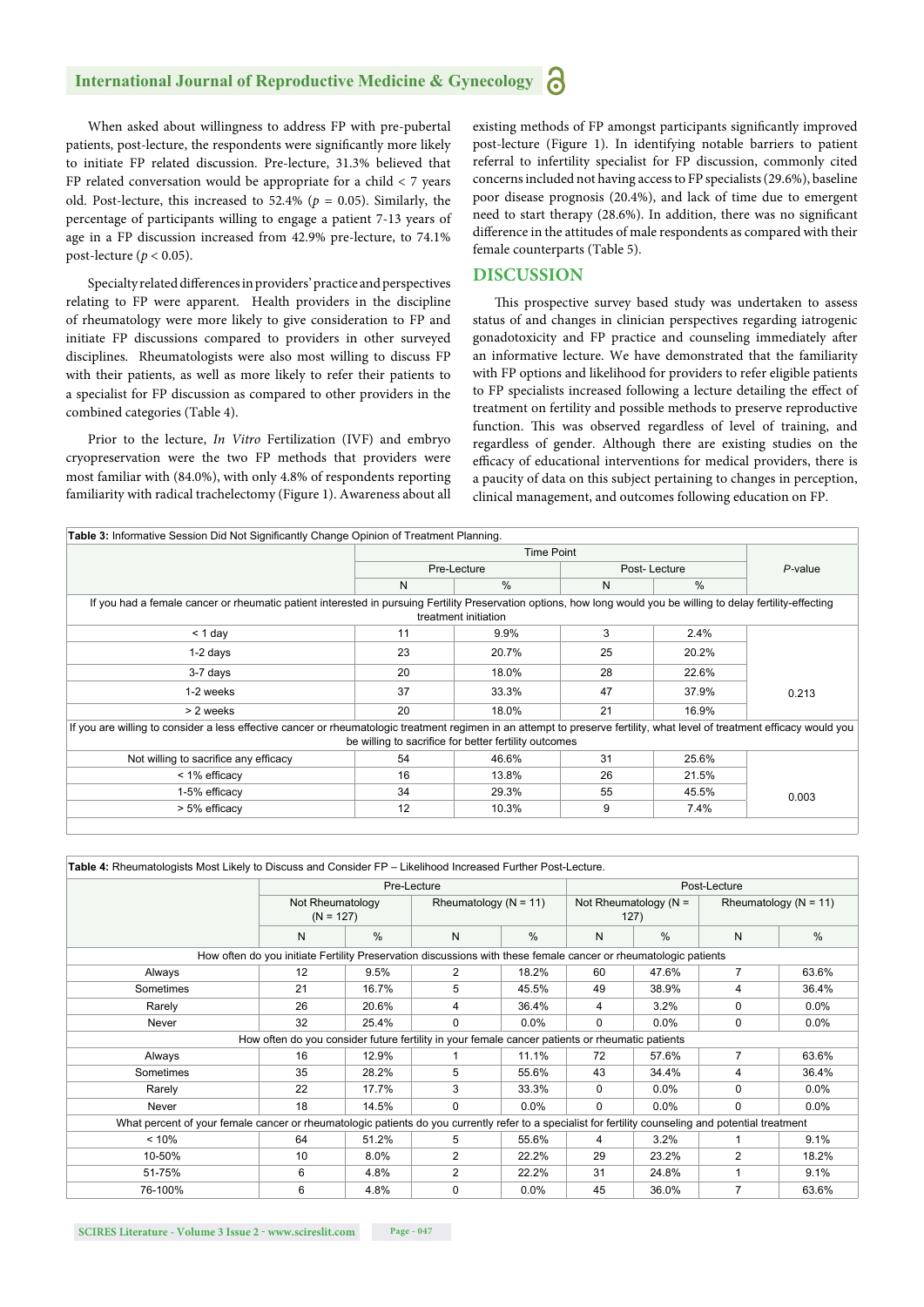When asked about willingness to address FP with pre-pubertal patients, post-lecture, the respondents were significantly more likely to initiate FP related discussion. Pre-lecture, 31.3% believed that FP related conversation would be appropriate for a child  $< 7$  years old. Post-lecture, this increased to  $52.4\%$  ( $p = 0.05$ ). Similarly, the percentage of participants willing to engage a patient 7-13 years of age in a FP discussion increased from 42.9% pre-lecture, to 74.1% post-lecture  $(p < 0.05)$ .

Specialty related differences in providers' practice and perspectives relating to FP were apparent. Health providers in the discipline of rheumatology were more likely to give consideration to FP and initiate FP discussions compared to providers in other surveyed disciplines. Rheumatologists were also most willing to discuss FP with their patients, as well as more likely to refer their patients to a specialist for FP discussion as compared to other providers in the combined categories (Table 4).

Prior to the lecture, *In Vitro* Fertilization (IVF) and embryo cryopreservation were the two FP methods that providers were most familiar with (84.0%), with only 4.8% of respondents reporting familiarity with radical trachelectomy (Figure 1). Awareness about all existing methods of FP amongst participants significantly improved post-lecture (Figure 1). In identifying notable barriers to patient referral to infertility specialist for FP discussion, commonly cited concerns included not having access to FP specialists (29.6%), baseline poor disease prognosis (20.4%), and lack of time due to emergent need to start therapy  $(28.6\%)$ . In addition, there was no significant difference in the attitudes of male respondents as compared with their female counterparts (Table 5).

### **DISCUSSION**

This prospective survey based study was undertaken to assess status of and changes in clinician perspectives regarding iatrogenic gonadotoxicity and FP practice and counseling immediately after an informative lecture. We have demonstrated that the familiarity with FP options and likelihood for providers to refer eligible patients to FP specialists increased following a lecture detailing the effect of treatment on fertility and possible methods to preserve reproductive function. This was observed regardless of level of training, and regardless of gender. Although there are existing studies on the efficacy of educational interventions for medical providers, there is a paucity of data on this subject pertaining to changes in perception, clinical management, and outcomes following education on FP.

| Table 3: Informative Session Did Not Significantly Change Opinion of Treatment Planning.                                                                                  |    |                                                       |    |              |            |
|---------------------------------------------------------------------------------------------------------------------------------------------------------------------------|----|-------------------------------------------------------|----|--------------|------------|
|                                                                                                                                                                           |    |                                                       |    |              |            |
|                                                                                                                                                                           |    | Pre-Lecture                                           |    | Post-Lecture | $P$ -value |
|                                                                                                                                                                           | N  | $\%$                                                  | N  | $\%$         |            |
| If you had a female cancer or rheumatic patient interested in pursuing Fertility Preservation options, how long would you be willing to delay fertility-effecting         |    |                                                       |    |              |            |
|                                                                                                                                                                           |    | treatment initiation                                  |    |              |            |
| $<$ 1 day                                                                                                                                                                 | 11 | 9.9%                                                  | 3  | 2.4%         |            |
| $1-2$ days                                                                                                                                                                | 23 | 20.7%                                                 | 25 | 20.2%        |            |
| 3-7 days                                                                                                                                                                  | 20 | 18.0%                                                 | 28 | 22.6%        |            |
| 1-2 weeks                                                                                                                                                                 | 37 | 33.3%                                                 | 47 | 37.9%        | 0.213      |
| > 2 weeks                                                                                                                                                                 | 20 | 18.0%                                                 | 21 | 16.9%        |            |
| If you are willing to consider a less effective cancer or rheumatologic treatment regimen in an attempt to preserve fertility, what level of treatment efficacy would you |    |                                                       |    |              |            |
|                                                                                                                                                                           |    | be willing to sacrifice for better fertility outcomes |    |              |            |
| Not willing to sacrifice any efficacy                                                                                                                                     | 54 | 46.6%                                                 | 31 | 25.6%        |            |
| < 1% efficacy                                                                                                                                                             | 16 | 13.8%                                                 | 26 | 21.5%        |            |
| 1-5% efficacy                                                                                                                                                             | 34 | 29.3%                                                 | 55 | 45.5%        | 0.003      |
| > 5% efficacy                                                                                                                                                             | 12 | 10.3%                                                 | 9  | 7.4%         |            |
|                                                                                                                                                                           |    |                                                       |    |              |            |

**Table 4:** Rheumatologists Most Likely to Discuss and Consider FP – Likelihood Increased Further Post-Lecture.

|                                                                                                                                                      | Pre-Lecture                                                                                                     |               |                           |               | Post-Lecture                     |               |                           |         |  |
|------------------------------------------------------------------------------------------------------------------------------------------------------|-----------------------------------------------------------------------------------------------------------------|---------------|---------------------------|---------------|----------------------------------|---------------|---------------------------|---------|--|
|                                                                                                                                                      | Not Rheumatology<br>$(N = 127)$                                                                                 |               | Rheumatology ( $N = 11$ ) |               | Not Rheumatology ( $N =$<br>127) |               | Rheumatology ( $N = 11$ ) |         |  |
|                                                                                                                                                      | N                                                                                                               | $\frac{0}{0}$ | N                         | $\frac{0}{0}$ | N                                | $\frac{0}{0}$ | N                         | %       |  |
|                                                                                                                                                      | How often do you initiate Fertility Preservation discussions with these female cancer or rheumatologic patients |               |                           |               |                                  |               |                           |         |  |
| Always                                                                                                                                               | 12                                                                                                              | 9.5%          | 2                         | 18.2%         | 60                               | 47.6%         | $\overline{7}$            | 63.6%   |  |
| Sometimes                                                                                                                                            | 21                                                                                                              | 16.7%         | 5                         | 45.5%         | 49                               | 38.9%         | 4                         | 36.4%   |  |
| Rarely                                                                                                                                               | 26                                                                                                              | 20.6%         | 4                         | 36.4%         | 4                                | 3.2%          | $\Omega$                  | $0.0\%$ |  |
| Never                                                                                                                                                | 32                                                                                                              | 25.4%         | $\Omega$                  | $0.0\%$       | 0                                | $0.0\%$       | $\Omega$                  | $0.0\%$ |  |
|                                                                                                                                                      | How often do you consider future fertility in your female cancer patients or rheumatic patients                 |               |                           |               |                                  |               |                           |         |  |
| Always                                                                                                                                               | 16                                                                                                              | 12.9%         |                           | 11.1%         | 72                               | 57.6%         | 7                         | 63.6%   |  |
| Sometimes                                                                                                                                            | 35                                                                                                              | 28.2%         | 5                         | 55.6%         | 43                               | 34.4%         | 4                         | 36.4%   |  |
| Rarely                                                                                                                                               | 22                                                                                                              | 17.7%         | 3                         | 33.3%         | $\Omega$                         | $0.0\%$       | $\Omega$                  | $0.0\%$ |  |
| Never                                                                                                                                                | 18                                                                                                              | 14.5%         | $\Omega$                  | $0.0\%$       | $\Omega$                         | $0.0\%$       | $\Omega$                  | $0.0\%$ |  |
| What percent of your female cancer or rheumatologic patients do you currently refer to a specialist for fertility counseling and potential treatment |                                                                                                                 |               |                           |               |                                  |               |                           |         |  |
| < 10%                                                                                                                                                | 64                                                                                                              | 51.2%         | 5                         | 55.6%         | 4                                | 3.2%          |                           | 9.1%    |  |
| 10-50%                                                                                                                                               | 10                                                                                                              | 8.0%          | $\overline{2}$            | 22.2%         | 29                               | 23.2%         | $\overline{2}$            | 18.2%   |  |
| 51-75%                                                                                                                                               | 6                                                                                                               | 4.8%          | $\overline{2}$            | 22.2%         | 31                               | 24.8%         |                           | 9.1%    |  |
| 76-100%                                                                                                                                              | 6                                                                                                               | 4.8%          | $\Omega$                  | $0.0\%$       | 45                               | 36.0%         | 7                         | 63.6%   |  |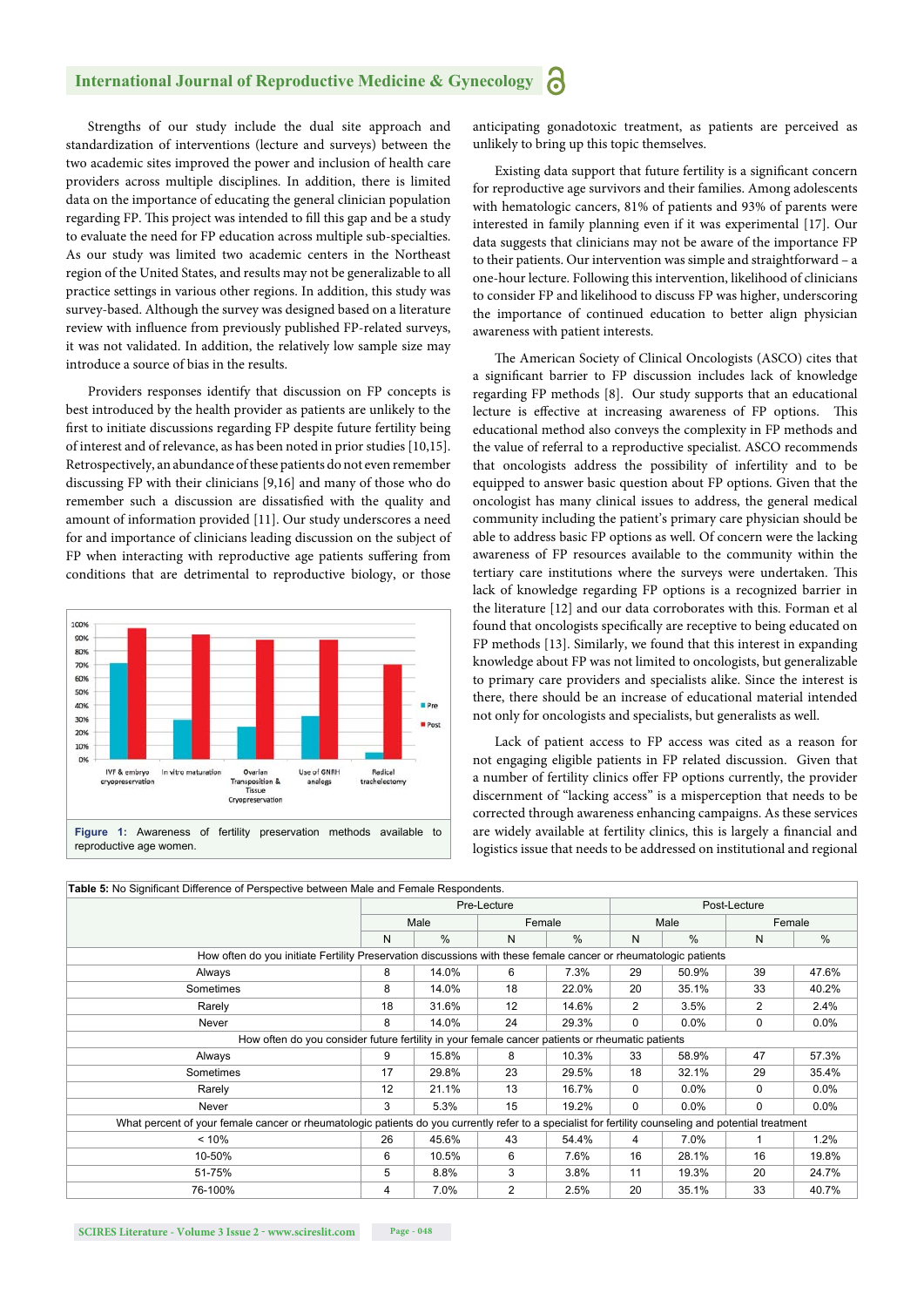Strengths of our study include the dual site approach and standardization of interventions (lecture and surveys) between the two academic sites improved the power and inclusion of health care providers across multiple disciplines. In addition, there is limited data on the importance of educating the general clinician population regarding FP. This project was intended to fill this gap and be a study to evaluate the need for FP education across multiple sub-specialties. As our study was limited two academic centers in the Northeast region of the United States, and results may not be generalizable to all practice settings in various other regions. In addition, this study was survey-based. Although the survey was designed based on a literature review with influence from previously published FP-related surveys, it was not validated. In addition, the relatively low sample size may introduce a source of bias in the results.

Providers responses identify that discussion on FP concepts is best introduced by the health provider as patients are unlikely to the first to initiate discussions regarding FP despite future fertility being of interest and of relevance, as has been noted in prior studies [10,15]. Retrospectively, an abundance of these patients do not even remember discussing FP with their clinicians [9,16] and many of those who do remember such a discussion are dissatisfied with the quality and amount of information provided [11]. Our study underscores a need for and importance of clinicians leading discussion on the subject of FP when interacting with reproductive age patients suffering from conditions that are detrimental to reproductive biology, or those



anticipating gonadotoxic treatment, as patients are perceived as unlikely to bring up this topic themselves.

Existing data support that future fertility is a significant concern for reproductive age survivors and their families. Among adolescents with hematologic cancers, 81% of patients and 93% of parents were interested in family planning even if it was experimental [17]. Our data suggests that clinicians may not be aware of the importance FP to their patients. Our intervention was simple and straightforward – a one-hour lecture. Following this intervention, likelihood of clinicians to consider FP and likelihood to discuss FP was higher, underscoring the importance of continued education to better align physician awareness with patient interests.

The American Society of Clinical Oncologists (ASCO) cites that a significant barrier to FP discussion includes lack of knowledge regarding FP methods [8]. Our study supports that an educational lecture is effective at increasing awareness of FP options. This educational method also conveys the complexity in FP methods and the value of referral to a reproductive specialist. ASCO recommends that oncologists address the possibility of infertility and to be equipped to answer basic question about FP options. Given that the oncologist has many clinical issues to address, the general medical community including the patient's primary care physician should be able to address basic FP options as well. Of concern were the lacking awareness of FP resources available to the community within the tertiary care institutions where the surveys were undertaken. This lack of knowledge regarding FP options is a recognized barrier in the literature [12] and our data corroborates with this. Forman et al found that oncologists specifically are receptive to being educated on FP methods [13]. Similarly, we found that this interest in expanding knowledge about FP was not limited to oncologists, but generalizable to primary care providers and specialists alike. Since the interest is there, there should be an increase of educational material intended not only for oncologists and specialists, but generalists as well.

Lack of patient access to FP access was cited as a reason for not engaging eligible patients in FP related discussion. Given that a number of fertility clinics offer FP options currently, the provider discernment of "lacking access" is a misperception that needs to be corrected through awareness enhancing campaigns. As these services are widely available at fertility clinics, this is largely a financial and logistics issue that needs to be addressed on institutional and regional

|                                                                                                                                                      |                                                                                                 | Pre-Lecture |    |        |          | Post-Lecture  |          |               |  |
|------------------------------------------------------------------------------------------------------------------------------------------------------|-------------------------------------------------------------------------------------------------|-------------|----|--------|----------|---------------|----------|---------------|--|
|                                                                                                                                                      |                                                                                                 | Male        |    | Female |          | Male          |          | Female        |  |
|                                                                                                                                                      | N                                                                                               | %           | N  | %      | N        | $\frac{0}{0}$ | N        | $\frac{0}{0}$ |  |
| How often do you initiate Fertility Preservation discussions with these female cancer or rheumatologic patients                                      |                                                                                                 |             |    |        |          |               |          |               |  |
| Always                                                                                                                                               | 8                                                                                               | 14.0%       | 6  | 7.3%   | 29       | 50.9%         | 39       | 47.6%         |  |
| Sometimes                                                                                                                                            | 8                                                                                               | 14.0%       | 18 | 22.0%  | 20       | 35.1%         | 33       | 40.2%         |  |
| Rarely                                                                                                                                               | 18                                                                                              | 31.6%       | 12 | 14.6%  | 2        | 3.5%          | 2        | 2.4%          |  |
| Never                                                                                                                                                | 8                                                                                               | 14.0%       | 24 | 29.3%  | 0        | $0.0\%$       | 0        | 0.0%          |  |
|                                                                                                                                                      | How often do you consider future fertility in your female cancer patients or rheumatic patients |             |    |        |          |               |          |               |  |
| Always                                                                                                                                               | 9                                                                                               | 15.8%       | 8  | 10.3%  | 33       | 58.9%         | 47       | 57.3%         |  |
| Sometimes                                                                                                                                            | 17                                                                                              | 29.8%       | 23 | 29.5%  | 18       | 32.1%         | 29       | 35.4%         |  |
| Rarely                                                                                                                                               | 12                                                                                              | 21.1%       | 13 | 16.7%  | $\Omega$ | $0.0\%$       | 0        | 0.0%          |  |
| Never                                                                                                                                                | 3                                                                                               | 5.3%        | 15 | 19.2%  | $\Omega$ | $0.0\%$       | $\Omega$ | $0.0\%$       |  |
| What percent of your female cancer or rheumatologic patients do you currently refer to a specialist for fertility counseling and potential treatment |                                                                                                 |             |    |        |          |               |          |               |  |
| < 10%                                                                                                                                                | 26                                                                                              | 45.6%       | 43 | 54.4%  | 4        | 7.0%          |          | 1.2%          |  |
| 10-50%                                                                                                                                               | 6                                                                                               | 10.5%       | 6  | 7.6%   | 16       | 28.1%         | 16       | 19.8%         |  |
| 51-75%                                                                                                                                               | 5                                                                                               | $8.8\%$     | 3  | 3.8%   | 11       | 19.3%         | 20       | 24.7%         |  |
| 76-100%                                                                                                                                              | 4                                                                                               | 7.0%        | 2  | 2.5%   | 20       | 35.1%         | 33       | 40.7%         |  |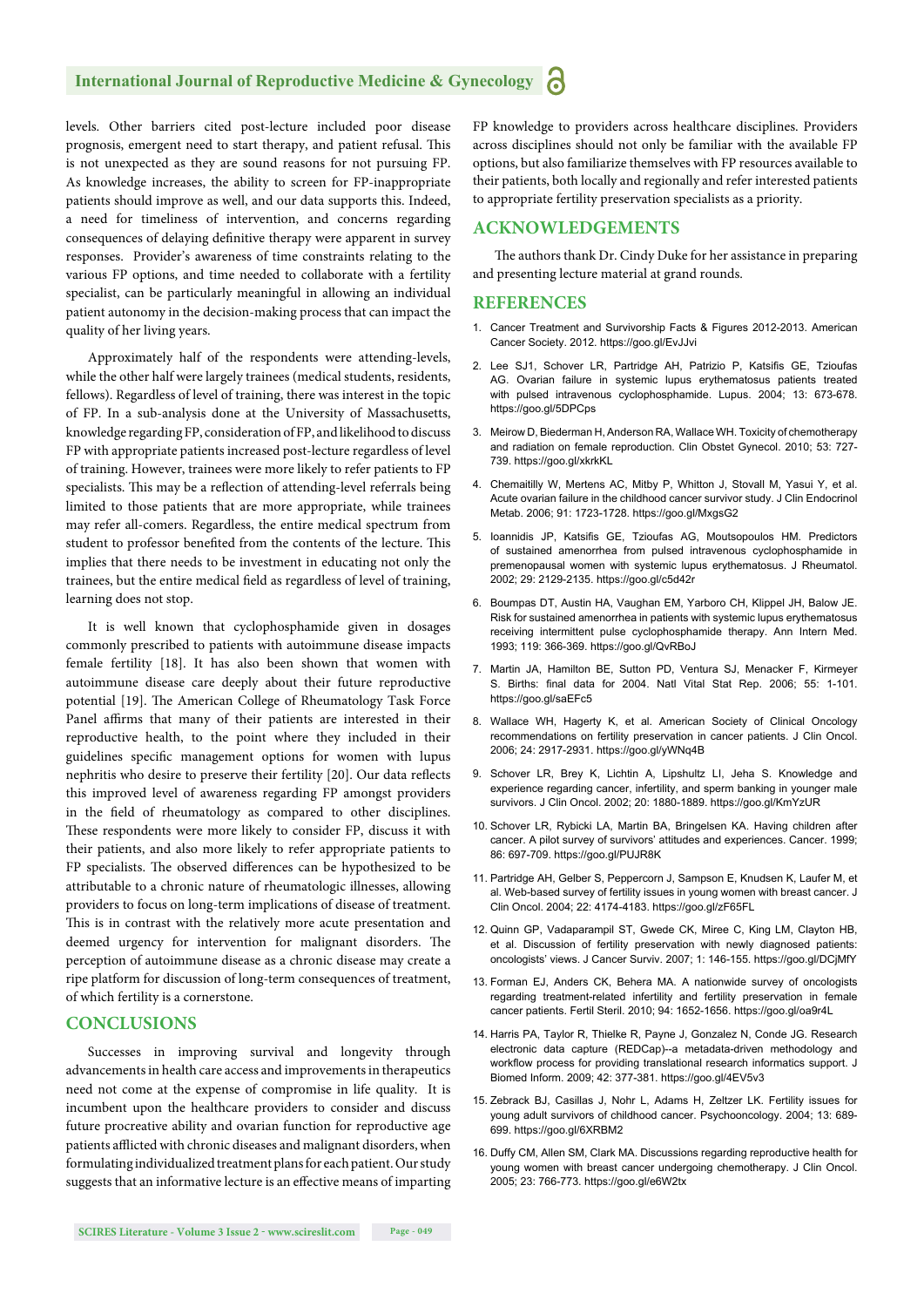levels. Other barriers cited post-lecture included poor disease prognosis, emergent need to start therapy, and patient refusal. This is not unexpected as they are sound reasons for not pursuing FP. As knowledge increases, the ability to screen for FP-inappropriate patients should improve as well, and our data supports this. Indeed, a need for timeliness of intervention, and concerns regarding consequences of delaying definitive therapy were apparent in survey responses. Provider's awareness of time constraints relating to the various FP options, and time needed to collaborate with a fertility specialist, can be particularly meaningful in allowing an individual patient autonomy in the decision-making process that can impact the quality of her living years.

Approximately half of the respondents were attending-levels, while the other half were largely trainees (medical students, residents, fellows). Regardless of level of training, there was interest in the topic of FP. In a sub-analysis done at the University of Massachusetts, knowledge regarding FP, consideration of FP, and likelihood to discuss FP with appropriate patients increased post-lecture regardless of level of training. However, trainees were more likely to refer patients to FP specialists. This may be a reflection of attending-level referrals being limited to those patients that are more appropriate, while trainees may refer all-comers. Regardless, the entire medical spectrum from student to professor benefited from the contents of the lecture. This implies that there needs to be investment in educating not only the trainees, but the entire medical field as regardless of level of training, learning does not stop.

It is well known that cyclophosphamide given in dosages commonly prescribed to patients with autoimmune disease impacts female fertility [18]. It has also been shown that women with autoimmune disease care deeply about their future reproductive potential [19]. The American College of Rheumatology Task Force Panel affirms that many of their patients are interested in their reproductive health, to the point where they included in their guidelines specific management options for women with lupus nephritis who desire to preserve their fertility [20]. Our data reflects this improved level of awareness regarding FP amongst providers in the field of rheumatology as compared to other disciplines. These respondents were more likely to consider FP, discuss it with their patients, and also more likely to refer appropriate patients to FP specialists. The observed differences can be hypothesized to be attributable to a chronic nature of rheumatologic illnesses, allowing providers to focus on long-term implications of disease of treatment. This is in contrast with the relatively more acute presentation and deemed urgency for intervention for malignant disorders. The perception of autoimmune disease as a chronic disease may create a ripe platform for discussion of long-term consequences of treatment, of which fertility is a cornerstone.

### **CONCLUSIONS**

Successes in improving survival and longevity through advancements in health care access and improvements in therapeutics need not come at the expense of compromise in life quality. It is incumbent upon the healthcare providers to consider and discuss future procreative ability and ovarian function for reproductive age patients afflicted with chronic diseases and malignant disorders, when formulating individualized treatment plans for each patient. Our study suggests that an informative lecture is an effective means of imparting

FP knowledge to providers across healthcare disciplines. Providers across disciplines should not only be familiar with the available FP options, but also familiarize themselves with FP resources available to their patients, both locally and regionally and refer interested patients to appropriate fertility preservation specialists as a priority.

### **ACKNOWLEDGEMENTS**

The authors thank Dr. Cindy Duke for her assistance in preparing and presenting lecture material at grand rounds.

### **REFERENCES**

- 1. Cancer Treatment and Survivorship Facts & Figures 2012-2013. American Cancer Society. 2012. https://goo.gl/EvJJvi
- 2. Lee SJ1, Schover LR, Partridge AH, Patrizio P, Katsifis GE, Tzioufas AG. Ovarian failure in systemic lupus erythematosus patients treated with pulsed intravenous cyclophosphamide. Lupus. 2004; 13: 673-678. https://goo.gl/5DPCps
- 3. Meirow D, Biederman H, Anderson RA, Wallace WH. Toxicity of chemotherapy and radiation on female reproduction. Clin Obstet Gynecol. 2010; 53: 727- 739. https://goo.gl/xkrkKL
- 4. Chemaitilly W, Mertens AC, Mitby P, Whitton J, Stovall M, Yasui Y, et al. Acute ovarian failure in the childhood cancer survivor study. J Clin Endocrinol Metab. 2006; 91: 1723-1728. https://goo.gl/MxgsG2
- 5. Ioannidis JP, Katsifis GE, Tzioufas AG, Moutsopoulos HM. Predictors of sustained amenorrhea from pulsed intravenous cyclophosphamide in premenopausal women with systemic lupus erythematosus. J Rheumatol. 2002; 29: 2129-2135. https://goo.gl/c5d42r
- 6. Boumpas DT, Austin HA, Vaughan EM, Yarboro CH, Klippel JH, Balow JE. Risk for sustained amenorrhea in patients with systemic lupus erythematosus receiving intermittent pulse cyclophosphamide therapy. Ann Intern Med. 1993; 119: 366-369. https://goo.gl/QvRBoJ
- 7. Martin JA, Hamilton BE, Sutton PD, Ventura SJ, Menacker F, Kirmeyer S. Births: final data for 2004. Natl Vital Stat Rep. 2006; 55: 1-101. https://goo.gl/saEFc5
- 8. Wallace WH, Hagerty K, et al. American Society of Clinical Oncology recommendations on fertility preservation in cancer patients. J Clin Oncol. 2006; 24: 2917-2931. https://goo.gl/yWNq4B
- 9. Schover LR, Brey K, Lichtin A, Lipshultz LI, Jeha S. Knowledge and experience regarding cancer, infertility, and sperm banking in younger male survivors. J Clin Oncol. 2002; 20: 1880-1889. https://goo.gl/KmYzUR
- 10. Schover LR, Rybicki LA, Martin BA, Bringelsen KA. Having children after cancer. A pilot survey of survivors' attitudes and experiences. Cancer. 1999; 86: 697-709. https://goo.gl/PUJR8K
- 11. Partridge AH, Gelber S, Peppercorn J, Sampson E, Knudsen K, Laufer M, et al. Web-based survey of fertility issues in young women with breast cancer. J Clin Oncol. 2004; 22: 4174-4183. https://goo.gl/zF65FL
- 12. Quinn GP, Vadaparampil ST, Gwede CK, Miree C, King LM, Clayton HB, et al. Discussion of fertility preservation with newly diagnosed patients: oncologists' views. J Cancer Surviv. 2007; 1: 146-155. https://goo.gl/DCjMfY
- 13. Forman EJ, Anders CK, Behera MA. A nationwide survey of oncologists regarding treatment-related infertility and fertility preservation in female cancer patients. Fertil Steril. 2010; 94: 1652-1656. https://goo.gl/oa9r4L
- 14. Harris PA, Taylor R, Thielke R, Payne J, Gonzalez N, Conde JG. Research electronic data capture (REDCap)--a metadata-driven methodology and workflow process for providing translational research informatics support. J Biomed Inform. 2009; 42: 377-381. https://goo.gl/4EV5v3
- 15. Zebrack BJ, Casillas J, Nohr L, Adams H, Zeltzer LK. Fertility issues for young adult survivors of childhood cancer. Psychooncology. 2004; 13: 689- 699. https://goo.gl/6XRBM2
- 16. Duffy CM, Allen SM, Clark MA. Discussions regarding reproductive health for young women with breast cancer undergoing chemotherapy. J Clin Oncol. 2005; 23: 766-773. https://goo.gl/e6W2tx